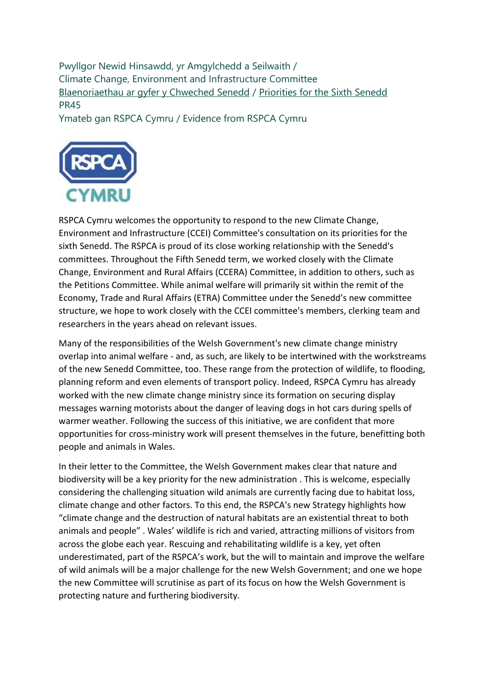Pwyllgor Newid Hinsawdd, yr Amgylchedd a Seilwaith / Climate Change, Environment and Infrastructure Committee [Blaenoriaethau ar gyfer y Chweched Senedd](https://busnes.senedd.cymru/mgConsultationDisplay.aspx?id=427&RPID=1026452002&cp=yes) / [Priorities for the Sixth Senedd](https://business.senedd.wales/mgConsultationDisplay.aspx?id=427&RPID=1026452002&cp=yes) PR45

Ymateb gan RSPCA Cymru / Evidence from RSPCA Cymru



RSPCA Cymru welcomes the opportunity to respond to the new Climate Change, Environment and Infrastructure (CCEI) Committee's consultation on its priorities for the sixth Senedd. The RSPCA is proud of its close working relationship with the Senedd's committees. Throughout the Fifth Senedd term, we worked closely with the Climate Change, Environment and Rural Affairs (CCERA) Committee, in addition to others, such as the Petitions Committee. While animal welfare will primarily sit within the remit of the Economy, Trade and Rural Affairs (ETRA) Committee under the Senedd's new committee structure, we hope to work closely with the CCEI committee's members, clerking team and researchers in the years ahead on relevant issues.

Many of the responsibilities of the Welsh Government's new climate change ministry overlap into animal welfare - and, as such, are likely to be intertwined with the workstreams of the new Senedd Committee, too. These range from the protection of wildlife, to flooding, planning reform and even elements of transport policy. Indeed, RSPCA Cymru has already worked with the new climate change ministry since its formation on securing display messages warning motorists about the danger of leaving dogs in hot cars during spells of warmer weather. Following the success of this initiative, we are confident that more opportunities for cross-ministry work will present themselves in the future, benefitting both people and animals in Wales.

In their letter to the Committee, the Welsh Government makes clear that nature and biodiversity will be a key priority for the new administration . This is welcome, especially considering the challenging situation wild animals are currently facing due to habitat loss, climate change and other factors. To this end, the RSPCA's new Strategy highlights how "climate change and the destruction of natural habitats are an existential threat to both animals and people" . Wales' wildlife is rich and varied, attracting millions of visitors from across the globe each year. Rescuing and rehabilitating wildlife is a key, yet often underestimated, part of the RSPCA's work, but the will to maintain and improve the welfare of wild animals will be a major challenge for the new Welsh Government; and one we hope the new Committee will scrutinise as part of its focus on how the Welsh Government is protecting nature and furthering biodiversity.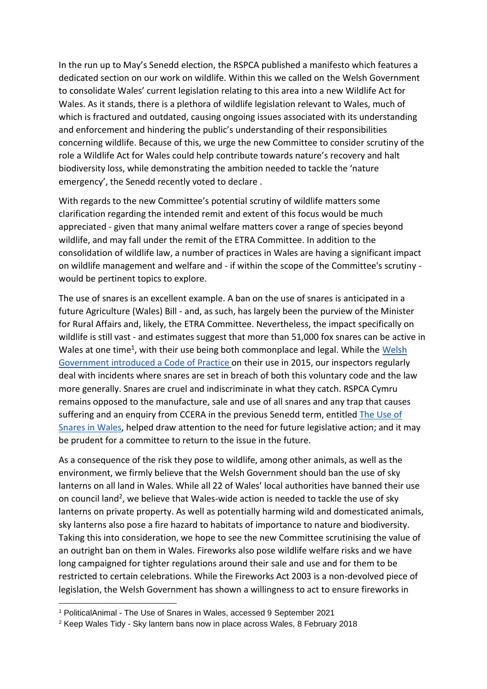In the run up to May's Senedd election, the RSPCA published a manifesto which features a dedicated section on our work on wildlife. Within this we called on the Welsh Government to consolidate Wales' current legislation relating to this area into a new Wildlife Act for Wales. As it stands, there is a plethora of wildlife legislation relevant to Wales, much of which is fractured and outdated, causing ongoing issues associated with its understanding and enforcement and hindering the public's understanding of their responsibilities concerning wildlife. Because of this, we urge the new Committee to consider scrutiny of the role a Wildlife Act for Wales could help contribute towards nature's recovery and halt biodiversity loss, while demonstrating the ambition needed to tackle the 'nature emergency', the Senedd recently voted to declare .

With regards to the new Committee's potential scrutiny of wildlife matters some clarification regarding the intended remit and extent of this focus would be much appreciated - given that many animal welfare matters cover a range of species beyond wildlife, and may fall under the remit of the ETRA Committee. In addition to the consolidation of wildlife law, a number of practices in Wales are having a significant impact on wildlife management and welfare and - if within the scope of the Committee's scrutiny would be pertinent topics to explore.

The use of snares is an excellent example. A ban on the use of snares is anticipated in a future Agriculture (Wales) Bill - and, as such, has largely been the purview of the Minister for Rural Affairs and, likely, the ETRA Committee. Nevertheless, the impact specifically on wildlife is still vast - and estimates suggest that more than 51,000 fox snares can be active in Wales at one time<sup>1</sup>, with their use being both commonplace and legal. While the **Welsh** [Government](https://gov.wales/sites/default/files/publications/2019-05/code-of-best-practice-use-snares-fox-control.pdf) [introduced](https://gov.wales/sites/default/files/publications/2019-05/code-of-best-practice-use-snares-fox-control.pdf) [a](https://gov.wales/sites/default/files/publications/2019-05/code-of-best-practice-use-snares-fox-control.pdf) [Code](https://gov.wales/sites/default/files/publications/2019-05/code-of-best-practice-use-snares-fox-control.pdf) [of](https://gov.wales/sites/default/files/publications/2019-05/code-of-best-practice-use-snares-fox-control.pdf) [Practice](https://gov.wales/sites/default/files/publications/2019-05/code-of-best-practice-use-snares-fox-control.pdf) on their use in 2015, our inspectors regularly deal with incidents where snares are set in breach of both this voluntary code and the law more generally. Snares are cruel and indiscriminate in what they catch. RSPCA Cymru remains opposed to the manufacture, sale and use of all snares and any trap that causes suffering and an enquiry from CCERA in the previous Senedd term, entitled [The](https://senedd.wales/laid%20documents/cr-ld11086/cr-ld11086-e.pdf) [Use](https://senedd.wales/laid%20documents/cr-ld11086/cr-ld11086-e.pdf) [of](https://senedd.wales/laid%20documents/cr-ld11086/cr-ld11086-e.pdf) [Snares](https://senedd.wales/laid%20documents/cr-ld11086/cr-ld11086-e.pdf) [in](https://senedd.wales/laid%20documents/cr-ld11086/cr-ld11086-e.pdf) [Wales,](https://senedd.wales/laid%20documents/cr-ld11086/cr-ld11086-e.pdf) helped draw attention to the need for future legislative action; and it may be prudent for a committee to return to the issue in the future.

As a consequence of the risk they pose to wildlife, among other animals, as well as the environment, we firmly believe that the Welsh Government should ban the use of sky lanterns on all land in Wales. While all 22 of Wales' local authorities have banned their use on council land<sup>2</sup>, we believe that Wales-wide action is needed to tackle the use of sky lanterns on private property. As well as potentially harming wild and domesticated animals, sky lanterns also pose a fire hazard to habitats of importance to nature and biodiversity. Taking this into consideration, we hope to see the new Committee scrutinising the value of an outright ban on them in Wales. Fireworks also pose wildlife welfare risks and we have long campaigned for tighter regulations around their sale and use and for them to be restricted to certain celebrations. While the Fireworks Act 2003 is a non-devolved piece of legislation, the Welsh Government has shown a willingness to act to ensure fireworks in

<sup>1</sup> PoliticalAnimal - The Use of Snares in Wales, accessed 9 September 2021

<sup>2</sup> Keep Wales Tidy - Sky lantern bans now in place across Wales, 8 February 2018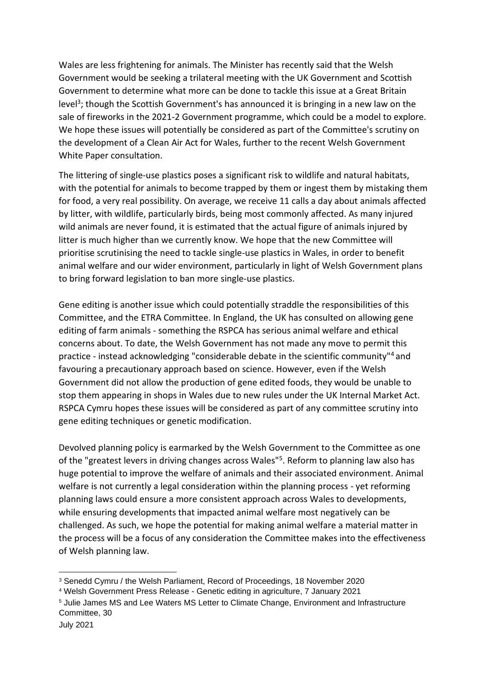Wales are less frightening for animals. The Minister has recently said that the Welsh Government would be seeking a trilateral meeting with the UK Government and Scottish Government to determine what more can be done to tackle this issue at a Great Britain level<sup>3</sup>; though the Scottish Government's has announced it is bringing in a new law on the sale of fireworks in the 2021-2 Government programme, which could be a model to explore. We hope these issues will potentially be considered as part of the Committee's scrutiny on the development of a Clean Air Act for Wales, further to the recent Welsh Government White Paper consultation.

The littering of single-use plastics poses a significant risk to wildlife and natural habitats, with the potential for animals to become trapped by them or ingest them by mistaking them for food, a very real possibility. On average, we receive 11 calls a day about animals affected by litter, with wildlife, particularly birds, being most commonly affected. As many injured wild animals are never found, it is estimated that the actual figure of animals injured by litter is much higher than we currently know. We hope that the new Committee will prioritise scrutinising the need to tackle single-use plastics in Wales, in order to benefit animal welfare and our wider environment, particularly in light of Welsh Government plans to bring forward legislation to ban more single-use plastics.

Gene editing is another issue which could potentially straddle the responsibilities of this Committee, and the ETRA Committee. In England, the UK has consulted on allowing gene editing of farm animals - something the RSPCA has serious animal welfare and ethical concerns about. To date, the Welsh Government has not made any move to permit this practice - instead acknowledging "considerable debate in the scientific community"<sup>4</sup> and favouring a precautionary approach based on science. However, even if the Welsh Government did not allow the production of gene edited foods, they would be unable to stop them appearing in shops in Wales due to new rules under the UK Internal Market Act. RSPCA Cymru hopes these issues will be considered as part of any committee scrutiny into gene editing techniques or genetic modification.

Devolved planning policy is earmarked by the Welsh Government to the Committee as one of the "greatest levers in driving changes across Wales"<sup>5</sup>. Reform to planning law also has huge potential to improve the welfare of animals and their associated environment. Animal welfare is not currently a legal consideration within the planning process - yet reforming planning laws could ensure a more consistent approach across Wales to developments, while ensuring developments that impacted animal welfare most negatively can be challenged. As such, we hope the potential for making animal welfare a material matter in the process will be a focus of any consideration the Committee makes into the effectiveness of Welsh planning law.

<sup>3</sup> Senedd Cymru / the Welsh Parliament, Record of Proceedings, 18 November 2020

<sup>4</sup> Welsh Government Press Release - Genetic editing in agriculture, 7 January 2021

<sup>5</sup> Julie James MS and Lee Waters MS Letter to Climate Change, Environment and Infrastructure Committee, 30